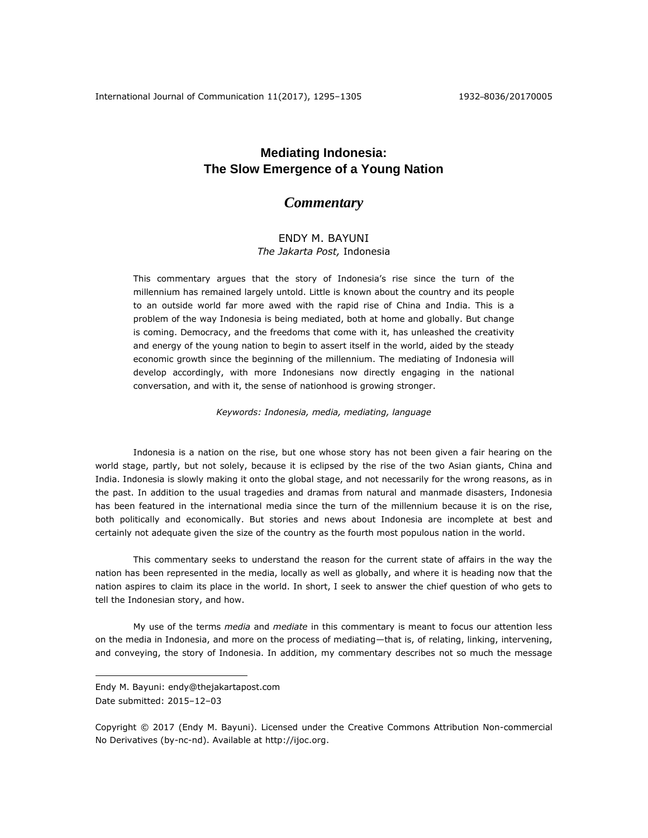# **Mediating Indonesia: The Slow Emergence of a Young Nation**

## *Commentary*

## ENDY M. BAYUNI *The Jakarta Post,* Indonesia

This commentary argues that the story of Indonesia's rise since the turn of the millennium has remained largely untold. Little is known about the country and its people to an outside world far more awed with the rapid rise of China and India. This is a problem of the way Indonesia is being mediated, both at home and globally. But change is coming. Democracy, and the freedoms that come with it, has unleashed the creativity and energy of the young nation to begin to assert itself in the world, aided by the steady economic growth since the beginning of the millennium. The mediating of Indonesia will develop accordingly, with more Indonesians now directly engaging in the national conversation, and with it, the sense of nationhood is growing stronger.

*Keywords: Indonesia, media, mediating, language*

Indonesia is a nation on the rise, but one whose story has not been given a fair hearing on the world stage, partly, but not solely, because it is eclipsed by the rise of the two Asian giants, China and India. Indonesia is slowly making it onto the global stage, and not necessarily for the wrong reasons, as in the past. In addition to the usual tragedies and dramas from natural and manmade disasters, Indonesia has been featured in the international media since the turn of the millennium because it is on the rise, both politically and economically. But stories and news about Indonesia are incomplete at best and certainly not adequate given the size of the country as the fourth most populous nation in the world.

This commentary seeks to understand the reason for the current state of affairs in the way the nation has been represented in the media, locally as well as globally, and where it is heading now that the nation aspires to claim its place in the world. In short, I seek to answer the chief question of who gets to tell the Indonesian story, and how.

My use of the terms *media* and *mediate* in this commentary is meant to focus our attention less on the media in Indonesia, and more on the process of mediating—that is, of relating, linking, intervening, and conveying, the story of Indonesia. In addition, my commentary describes not so much the message

 $\overline{a}$ 

Endy M. Bayuni: endy@thejakartapost.com Date submitted: 2015–12–03

Copyright © 2017 (Endy M. Bayuni). Licensed under the Creative Commons Attribution Non-commercial No Derivatives (by-nc-nd). Available at [http://ijoc.org.](http://ijoc.org/)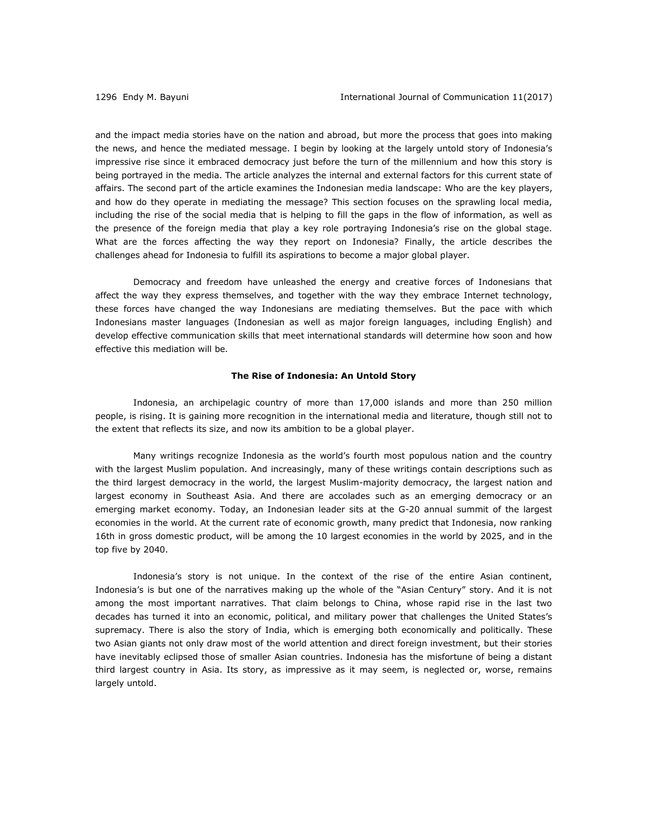and the impact media stories have on the nation and abroad, but more the process that goes into making the news, and hence the mediated message. I begin by looking at the largely untold story of Indonesia's impressive rise since it embraced democracy just before the turn of the millennium and how this story is being portrayed in the media. The article analyzes the internal and external factors for this current state of affairs. The second part of the article examines the Indonesian media landscape: Who are the key players, and how do they operate in mediating the message? This section focuses on the sprawling local media, including the rise of the social media that is helping to fill the gaps in the flow of information, as well as the presence of the foreign media that play a key role portraying Indonesia's rise on the global stage. What are the forces affecting the way they report on Indonesia? Finally, the article describes the challenges ahead for Indonesia to fulfill its aspirations to become a major global player.

Democracy and freedom have unleashed the energy and creative forces of Indonesians that affect the way they express themselves, and together with the way they embrace Internet technology, these forces have changed the way Indonesians are mediating themselves. But the pace with which Indonesians master languages (Indonesian as well as major foreign languages, including English) and develop effective communication skills that meet international standards will determine how soon and how effective this mediation will be.

## **The Rise of Indonesia: An Untold Story**

Indonesia, an archipelagic country of more than 17,000 islands and more than 250 million people, is rising. It is gaining more recognition in the international media and literature, though still not to the extent that reflects its size, and now its ambition to be a global player.

Many writings recognize Indonesia as the world's fourth most populous nation and the country with the largest Muslim population. And increasingly, many of these writings contain descriptions such as the third largest democracy in the world, the largest Muslim-majority democracy, the largest nation and largest economy in Southeast Asia. And there are accolades such as an emerging democracy or an emerging market economy. Today, an Indonesian leader sits at the G-20 annual summit of the largest economies in the world. At the current rate of economic growth, many predict that Indonesia, now ranking 16th in gross domestic product, will be among the 10 largest economies in the world by 2025, and in the top five by 2040.

Indonesia's story is not unique. In the context of the rise of the entire Asian continent, Indonesia's is but one of the narratives making up the whole of the "Asian Century" story. And it is not among the most important narratives. That claim belongs to China, whose rapid rise in the last two decades has turned it into an economic, political, and military power that challenges the United States's supremacy. There is also the story of India, which is emerging both economically and politically. These two Asian giants not only draw most of the world attention and direct foreign investment, but their stories have inevitably eclipsed those of smaller Asian countries. Indonesia has the misfortune of being a distant third largest country in Asia. Its story, as impressive as it may seem, is neglected or, worse, remains largely untold.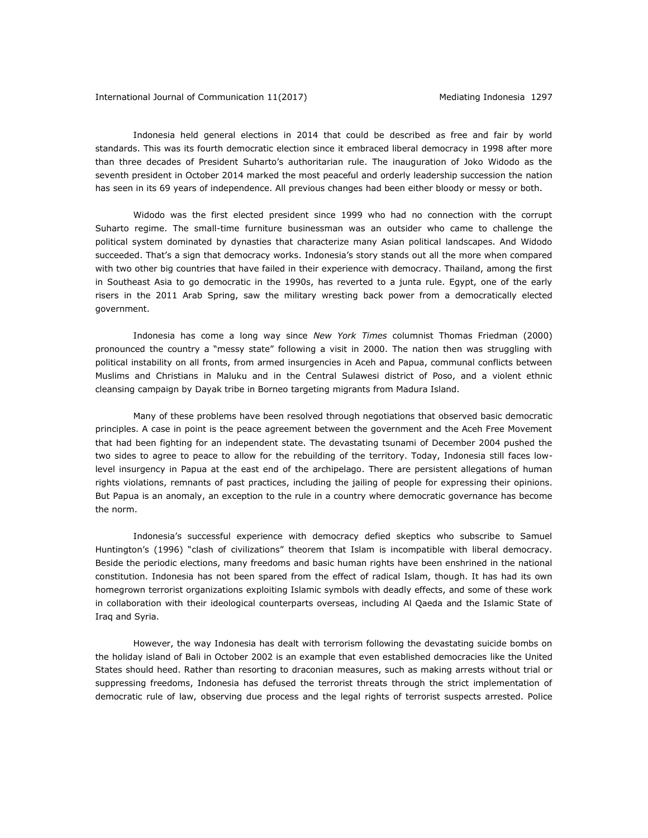Indonesia held general elections in 2014 that could be described as free and fair by world standards. This was its fourth democratic election since it embraced liberal democracy in 1998 after more than three decades of President Suharto's authoritarian rule. The inauguration of Joko Widodo as the seventh president in October 2014 marked the most peaceful and orderly leadership succession the nation has seen in its 69 years of independence. All previous changes had been either bloody or messy or both.

Widodo was the first elected president since 1999 who had no connection with the corrupt Suharto regime. The small-time furniture businessman was an outsider who came to challenge the political system dominated by dynasties that characterize many Asian political landscapes. And Widodo succeeded. That's a sign that democracy works. Indonesia's story stands out all the more when compared with two other big countries that have failed in their experience with democracy. Thailand, among the first in Southeast Asia to go democratic in the 1990s, has reverted to a junta rule. Egypt, one of the early risers in the 2011 Arab Spring, saw the military wresting back power from a democratically elected government.

Indonesia has come a long way since *New York Times* columnist Thomas Friedman (2000) pronounced the country a "messy state" following a visit in 2000. The nation then was struggling with political instability on all fronts, from armed insurgencies in Aceh and Papua, communal conflicts between Muslims and Christians in Maluku and in the Central Sulawesi district of Poso, and a violent ethnic cleansing campaign by Dayak tribe in Borneo targeting migrants from Madura Island.

Many of these problems have been resolved through negotiations that observed basic democratic principles. A case in point is the peace agreement between the government and the Aceh Free Movement that had been fighting for an independent state. The devastating tsunami of December 2004 pushed the two sides to agree to peace to allow for the rebuilding of the territory. Today, Indonesia still faces lowlevel insurgency in Papua at the east end of the archipelago. There are persistent allegations of human rights violations, remnants of past practices, including the jailing of people for expressing their opinions. But Papua is an anomaly, an exception to the rule in a country where democratic governance has become the norm.

Indonesia's successful experience with democracy defied skeptics who subscribe to Samuel Huntington's (1996) "clash of civilizations" theorem that Islam is incompatible with liberal democracy. Beside the periodic elections, many freedoms and basic human rights have been enshrined in the national constitution. Indonesia has not been spared from the effect of radical Islam, though. It has had its own homegrown terrorist organizations exploiting Islamic symbols with deadly effects, and some of these work in collaboration with their ideological counterparts overseas, including Al Qaeda and the Islamic State of Iraq and Syria.

However, the way Indonesia has dealt with terrorism following the devastating suicide bombs on the holiday island of Bali in October 2002 is an example that even established democracies like the United States should heed. Rather than resorting to draconian measures, such as making arrests without trial or suppressing freedoms, Indonesia has defused the terrorist threats through the strict implementation of democratic rule of law, observing due process and the legal rights of terrorist suspects arrested. Police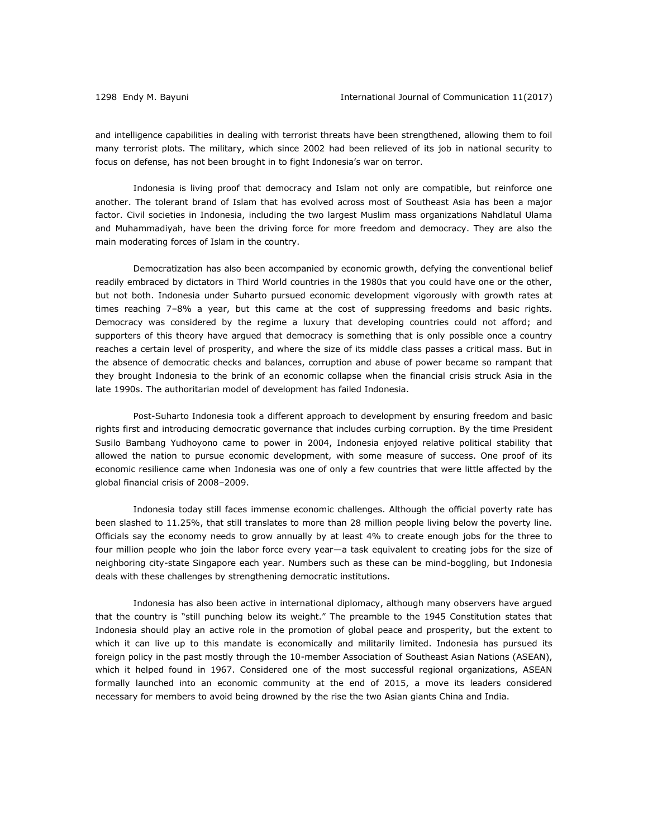and intelligence capabilities in dealing with terrorist threats have been strengthened, allowing them to foil many terrorist plots. The military, which since 2002 had been relieved of its job in national security to focus on defense, has not been brought in to fight Indonesia's war on terror.

Indonesia is living proof that democracy and Islam not only are compatible, but reinforce one another. The tolerant brand of Islam that has evolved across most of Southeast Asia has been a major factor. Civil societies in Indonesia, including the two largest Muslim mass organizations Nahdlatul Ulama and Muhammadiyah, have been the driving force for more freedom and democracy. They are also the main moderating forces of Islam in the country.

Democratization has also been accompanied by economic growth, defying the conventional belief readily embraced by dictators in Third World countries in the 1980s that you could have one or the other, but not both. Indonesia under Suharto pursued economic development vigorously with growth rates at times reaching 7–8% a year, but this came at the cost of suppressing freedoms and basic rights. Democracy was considered by the regime a luxury that developing countries could not afford; and supporters of this theory have argued that democracy is something that is only possible once a country reaches a certain level of prosperity, and where the size of its middle class passes a critical mass. But in the absence of democratic checks and balances, corruption and abuse of power became so rampant that they brought Indonesia to the brink of an economic collapse when the financial crisis struck Asia in the late 1990s. The authoritarian model of development has failed Indonesia.

Post-Suharto Indonesia took a different approach to development by ensuring freedom and basic rights first and introducing democratic governance that includes curbing corruption. By the time President Susilo Bambang Yudhoyono came to power in 2004, Indonesia enjoyed relative political stability that allowed the nation to pursue economic development, with some measure of success. One proof of its economic resilience came when Indonesia was one of only a few countries that were little affected by the global financial crisis of 2008–2009.

Indonesia today still faces immense economic challenges. Although the official poverty rate has been slashed to 11.25%, that still translates to more than 28 million people living below the poverty line. Officials say the economy needs to grow annually by at least 4% to create enough jobs for the three to four million people who join the labor force every year—a task equivalent to creating jobs for the size of neighboring city-state Singapore each year. Numbers such as these can be mind-boggling, but Indonesia deals with these challenges by strengthening democratic institutions.

Indonesia has also been active in international diplomacy, although many observers have argued that the country is "still punching below its weight." The preamble to the 1945 Constitution states that Indonesia should play an active role in the promotion of global peace and prosperity, but the extent to which it can live up to this mandate is economically and militarily limited. Indonesia has pursued its foreign policy in the past mostly through the 10-member Association of Southeast Asian Nations (ASEAN), which it helped found in 1967. Considered one of the most successful regional organizations, ASEAN formally launched into an economic community at the end of 2015, a move its leaders considered necessary for members to avoid being drowned by the rise the two Asian giants China and India.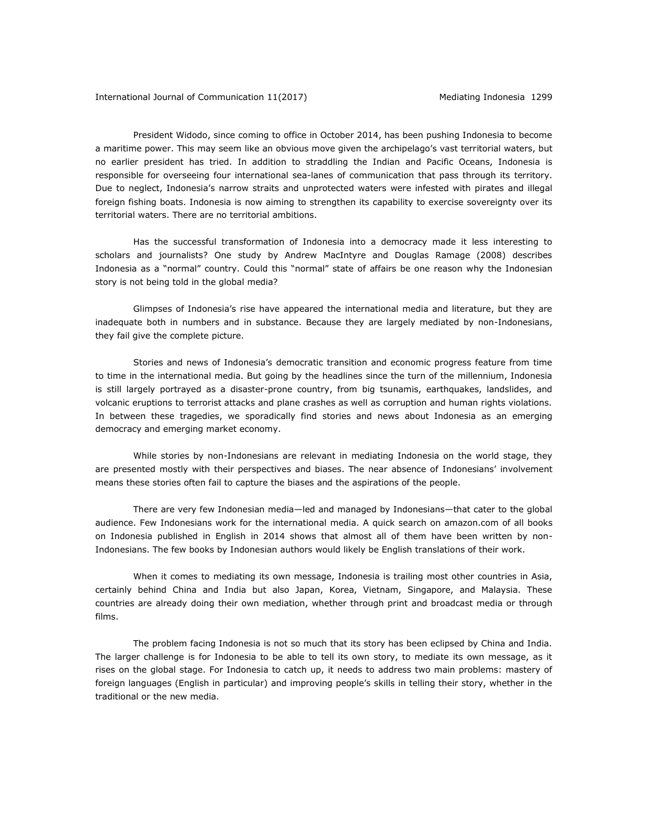President Widodo, since coming to office in October 2014, has been pushing Indonesia to become a maritime power. This may seem like an obvious move given the archipelago's vast territorial waters, but no earlier president has tried. In addition to straddling the Indian and Pacific Oceans, Indonesia is responsible for overseeing four international sea-lanes of communication that pass through its territory. Due to neglect, Indonesia's narrow straits and unprotected waters were infested with pirates and illegal foreign fishing boats. Indonesia is now aiming to strengthen its capability to exercise sovereignty over its territorial waters. There are no territorial ambitions.

Has the successful transformation of Indonesia into a democracy made it less interesting to scholars and journalists? One study by Andrew MacIntyre and Douglas Ramage (2008) describes Indonesia as a "normal" country. Could this "normal" state of affairs be one reason why the Indonesian story is not being told in the global media?

Glimpses of Indonesia's rise have appeared the international media and literature, but they are inadequate both in numbers and in substance. Because they are largely mediated by non-Indonesians, they fail give the complete picture.

Stories and news of Indonesia's democratic transition and economic progress feature from time to time in the international media. But going by the headlines since the turn of the millennium, Indonesia is still largely portrayed as a disaster-prone country, from big tsunamis, earthquakes, landslides, and volcanic eruptions to terrorist attacks and plane crashes as well as corruption and human rights violations. In between these tragedies, we sporadically find stories and news about Indonesia as an emerging democracy and emerging market economy.

While stories by non-Indonesians are relevant in mediating Indonesia on the world stage, they are presented mostly with their perspectives and biases. The near absence of Indonesians' involvement means these stories often fail to capture the biases and the aspirations of the people.

There are very few Indonesian media—led and managed by Indonesians—that cater to the global audience. Few Indonesians work for the international media. A quick search on amazon.com of all books on Indonesia published in English in 2014 shows that almost all of them have been written by non-Indonesians. The few books by Indonesian authors would likely be English translations of their work.

When it comes to mediating its own message, Indonesia is trailing most other countries in Asia, certainly behind China and India but also Japan, Korea, Vietnam, Singapore, and Malaysia. These countries are already doing their own mediation, whether through print and broadcast media or through films.

The problem facing Indonesia is not so much that its story has been eclipsed by China and India. The larger challenge is for Indonesia to be able to tell its own story, to mediate its own message, as it rises on the global stage. For Indonesia to catch up, it needs to address two main problems: mastery of foreign languages (English in particular) and improving people's skills in telling their story, whether in the traditional or the new media.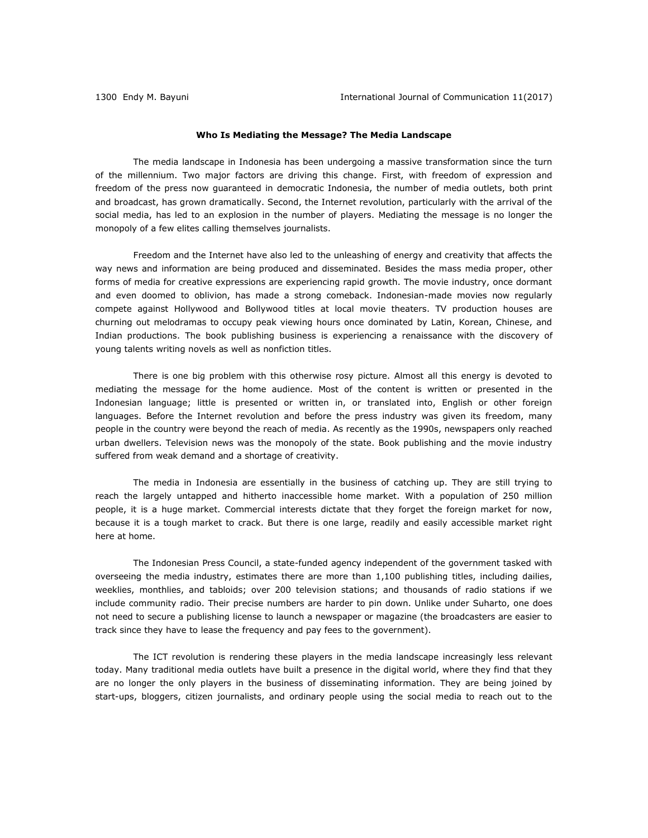## **Who Is Mediating the Message? The Media Landscape**

The media landscape in Indonesia has been undergoing a massive transformation since the turn of the millennium. Two major factors are driving this change. First, with freedom of expression and freedom of the press now guaranteed in democratic Indonesia, the number of media outlets, both print and broadcast, has grown dramatically. Second, the Internet revolution, particularly with the arrival of the social media, has led to an explosion in the number of players. Mediating the message is no longer the monopoly of a few elites calling themselves journalists.

Freedom and the Internet have also led to the unleashing of energy and creativity that affects the way news and information are being produced and disseminated. Besides the mass media proper, other forms of media for creative expressions are experiencing rapid growth. The movie industry, once dormant and even doomed to oblivion, has made a strong comeback. Indonesian-made movies now regularly compete against Hollywood and Bollywood titles at local movie theaters. TV production houses are churning out melodramas to occupy peak viewing hours once dominated by Latin, Korean, Chinese, and Indian productions. The book publishing business is experiencing a renaissance with the discovery of young talents writing novels as well as nonfiction titles.

There is one big problem with this otherwise rosy picture. Almost all this energy is devoted to mediating the message for the home audience. Most of the content is written or presented in the Indonesian language; little is presented or written in, or translated into, English or other foreign languages. Before the Internet revolution and before the press industry was given its freedom, many people in the country were beyond the reach of media. As recently as the 1990s, newspapers only reached urban dwellers. Television news was the monopoly of the state. Book publishing and the movie industry suffered from weak demand and a shortage of creativity.

The media in Indonesia are essentially in the business of catching up. They are still trying to reach the largely untapped and hitherto inaccessible home market. With a population of 250 million people, it is a huge market. Commercial interests dictate that they forget the foreign market for now, because it is a tough market to crack. But there is one large, readily and easily accessible market right here at home.

The Indonesian Press Council, a state-funded agency independent of the government tasked with overseeing the media industry, estimates there are more than 1,100 publishing titles, including dailies, weeklies, monthlies, and tabloids; over 200 television stations; and thousands of radio stations if we include community radio. Their precise numbers are harder to pin down. Unlike under Suharto, one does not need to secure a publishing license to launch a newspaper or magazine (the broadcasters are easier to track since they have to lease the frequency and pay fees to the government).

The ICT revolution is rendering these players in the media landscape increasingly less relevant today. Many traditional media outlets have built a presence in the digital world, where they find that they are no longer the only players in the business of disseminating information. They are being joined by start-ups, bloggers, citizen journalists, and ordinary people using the social media to reach out to the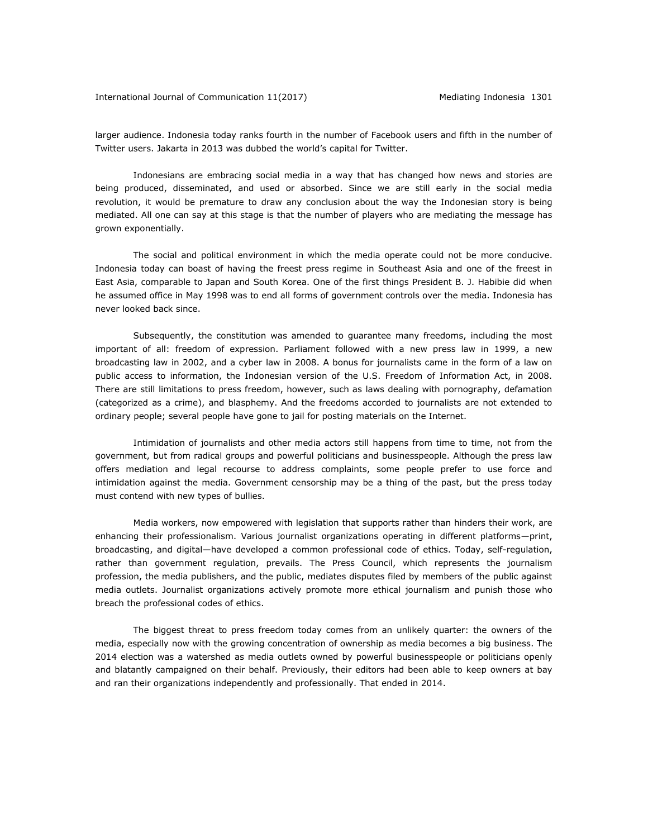larger audience. Indonesia today ranks fourth in the number of Facebook users and fifth in the number of Twitter users. Jakarta in 2013 was dubbed the world's capital for Twitter.

Indonesians are embracing social media in a way that has changed how news and stories are being produced, disseminated, and used or absorbed. Since we are still early in the social media revolution, it would be premature to draw any conclusion about the way the Indonesian story is being mediated. All one can say at this stage is that the number of players who are mediating the message has grown exponentially.

The social and political environment in which the media operate could not be more conducive. Indonesia today can boast of having the freest press regime in Southeast Asia and one of the freest in East Asia, comparable to Japan and South Korea. One of the first things President B. J. Habibie did when he assumed office in May 1998 was to end all forms of government controls over the media. Indonesia has never looked back since.

Subsequently, the constitution was amended to guarantee many freedoms, including the most important of all: freedom of expression. Parliament followed with a new press law in 1999, a new broadcasting law in 2002, and a cyber law in 2008. A bonus for journalists came in the form of a law on public access to information, the Indonesian version of the U.S. Freedom of Information Act, in 2008. There are still limitations to press freedom, however, such as laws dealing with pornography, defamation (categorized as a crime), and blasphemy. And the freedoms accorded to journalists are not extended to ordinary people; several people have gone to jail for posting materials on the Internet.

Intimidation of journalists and other media actors still happens from time to time, not from the government, but from radical groups and powerful politicians and businesspeople. Although the press law offers mediation and legal recourse to address complaints, some people prefer to use force and intimidation against the media. Government censorship may be a thing of the past, but the press today must contend with new types of bullies.

Media workers, now empowered with legislation that supports rather than hinders their work, are enhancing their professionalism. Various journalist organizations operating in different platforms—print, broadcasting, and digital—have developed a common professional code of ethics. Today, self-regulation, rather than government regulation, prevails. The Press Council, which represents the journalism profession, the media publishers, and the public, mediates disputes filed by members of the public against media outlets. Journalist organizations actively promote more ethical journalism and punish those who breach the professional codes of ethics.

The biggest threat to press freedom today comes from an unlikely quarter: the owners of the media, especially now with the growing concentration of ownership as media becomes a big business. The 2014 election was a watershed as media outlets owned by powerful businesspeople or politicians openly and blatantly campaigned on their behalf. Previously, their editors had been able to keep owners at bay and ran their organizations independently and professionally. That ended in 2014.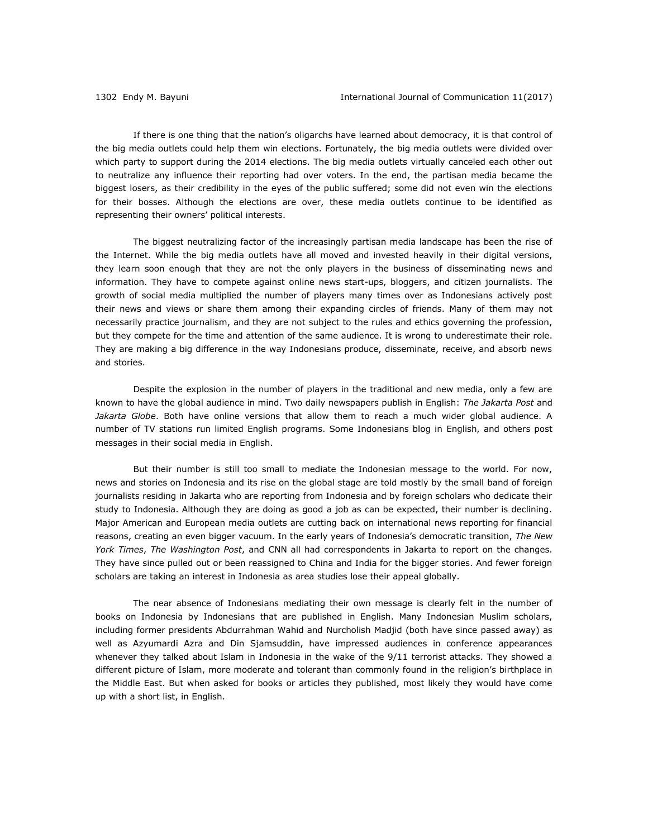If there is one thing that the nation's oligarchs have learned about democracy, it is that control of the big media outlets could help them win elections. Fortunately, the big media outlets were divided over which party to support during the 2014 elections. The big media outlets virtually canceled each other out to neutralize any influence their reporting had over voters. In the end, the partisan media became the biggest losers, as their credibility in the eyes of the public suffered; some did not even win the elections for their bosses. Although the elections are over, these media outlets continue to be identified as representing their owners' political interests.

The biggest neutralizing factor of the increasingly partisan media landscape has been the rise of the Internet. While the big media outlets have all moved and invested heavily in their digital versions, they learn soon enough that they are not the only players in the business of disseminating news and information. They have to compete against online news start-ups, bloggers, and citizen journalists. The growth of social media multiplied the number of players many times over as Indonesians actively post their news and views or share them among their expanding circles of friends. Many of them may not necessarily practice journalism, and they are not subject to the rules and ethics governing the profession, but they compete for the time and attention of the same audience. It is wrong to underestimate their role. They are making a big difference in the way Indonesians produce, disseminate, receive, and absorb news and stories.

Despite the explosion in the number of players in the traditional and new media, only a few are known to have the global audience in mind. Two daily newspapers publish in English: *The Jakarta Post* and *Jakarta Globe*. Both have online versions that allow them to reach a much wider global audience. A number of TV stations run limited English programs. Some Indonesians blog in English, and others post messages in their social media in English.

But their number is still too small to mediate the Indonesian message to the world. For now, news and stories on Indonesia and its rise on the global stage are told mostly by the small band of foreign journalists residing in Jakarta who are reporting from Indonesia and by foreign scholars who dedicate their study to Indonesia. Although they are doing as good a job as can be expected, their number is declining. Major American and European media outlets are cutting back on international news reporting for financial reasons, creating an even bigger vacuum. In the early years of Indonesia's democratic transition, *The New York Times*, *The Washington Post*, and CNN all had correspondents in Jakarta to report on the changes. They have since pulled out or been reassigned to China and India for the bigger stories. And fewer foreign scholars are taking an interest in Indonesia as area studies lose their appeal globally.

The near absence of Indonesians mediating their own message is clearly felt in the number of books on Indonesia by Indonesians that are published in English. Many Indonesian Muslim scholars, including former presidents Abdurrahman Wahid and Nurcholish Madjid (both have since passed away) as well as Azyumardi Azra and Din Sjamsuddin, have impressed audiences in conference appearances whenever they talked about Islam in Indonesia in the wake of the 9/11 terrorist attacks. They showed a different picture of Islam, more moderate and tolerant than commonly found in the religion's birthplace in the Middle East. But when asked for books or articles they published, most likely they would have come up with a short list, in English.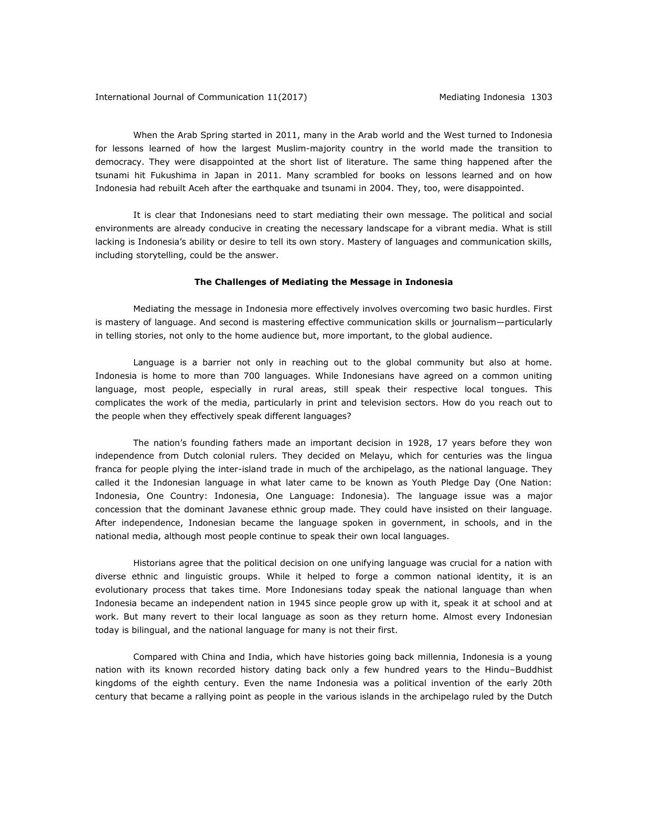When the Arab Spring started in 2011, many in the Arab world and the West turned to Indonesia for lessons learned of how the largest Muslim-majority country in the world made the transition to democracy. They were disappointed at the short list of literature. The same thing happened after the tsunami hit Fukushima in Japan in 2011. Many scrambled for books on lessons learned and on how Indonesia had rebuilt Aceh after the earthquake and tsunami in 2004. They, too, were disappointed.

It is clear that Indonesians need to start mediating their own message. The political and social environments are already conducive in creating the necessary landscape for a vibrant media. What is still lacking is Indonesia's ability or desire to tell its own story. Mastery of languages and communication skills, including storytelling, could be the answer.

## **The Challenges of Mediating the Message in Indonesia**

Mediating the message in Indonesia more effectively involves overcoming two basic hurdles. First is mastery of language. And second is mastering effective communication skills or journalism—particularly in telling stories, not only to the home audience but, more important, to the global audience.

Language is a barrier not only in reaching out to the global community but also at home. Indonesia is home to more than 700 languages. While Indonesians have agreed on a common uniting language, most people, especially in rural areas, still speak their respective local tongues. This complicates the work of the media, particularly in print and television sectors. How do you reach out to the people when they effectively speak different languages?

The nation's founding fathers made an important decision in 1928, 17 years before they won independence from Dutch colonial rulers. They decided on Melayu, which for centuries was the lingua franca for people plying the inter-island trade in much of the archipelago, as the national language. They called it the Indonesian language in what later came to be known as Youth Pledge Day (One Nation: Indonesia, One Country: Indonesia, One Language: Indonesia). The language issue was a major concession that the dominant Javanese ethnic group made. They could have insisted on their language. After independence, Indonesian became the language spoken in government, in schools, and in the national media, although most people continue to speak their own local languages.

Historians agree that the political decision on one unifying language was crucial for a nation with diverse ethnic and linguistic groups. While it helped to forge a common national identity, it is an evolutionary process that takes time. More Indonesians today speak the national language than when Indonesia became an independent nation in 1945 since people grow up with it, speak it at school and at work. But many revert to their local language as soon as they return home. Almost every Indonesian today is bilingual, and the national language for many is not their first.

Compared with China and India, which have histories going back millennia, Indonesia is a young nation with its known recorded history dating back only a few hundred years to the Hindu–Buddhist kingdoms of the eighth century. Even the name Indonesia was a political invention of the early 20th century that became a rallying point as people in the various islands in the archipelago ruled by the Dutch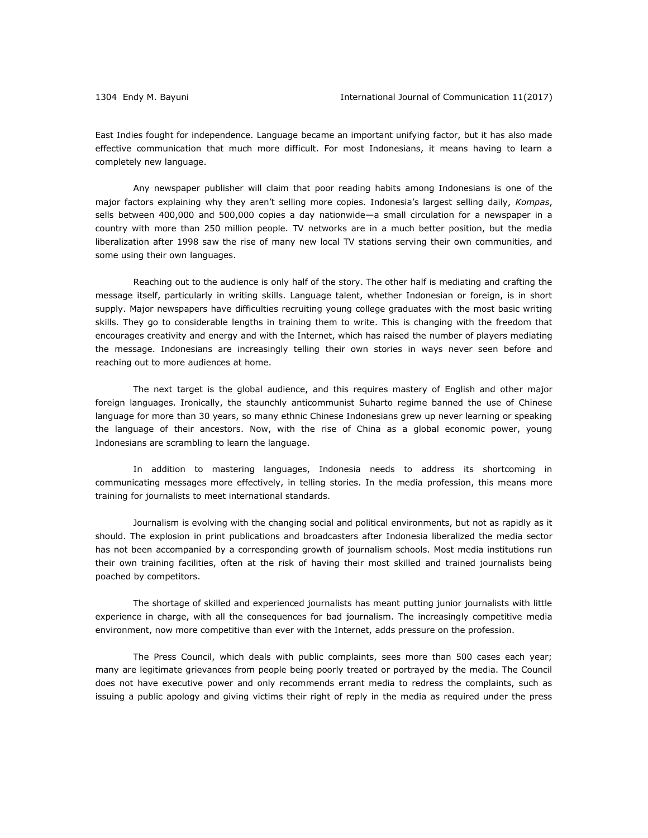East Indies fought for independence. Language became an important unifying factor, but it has also made effective communication that much more difficult. For most Indonesians, it means having to learn a completely new language.

Any newspaper publisher will claim that poor reading habits among Indonesians is one of the major factors explaining why they aren't selling more copies. Indonesia's largest selling daily, *Kompas*, sells between 400,000 and 500,000 copies a day nationwide—a small circulation for a newspaper in a country with more than 250 million people. TV networks are in a much better position, but the media liberalization after 1998 saw the rise of many new local TV stations serving their own communities, and some using their own languages.

Reaching out to the audience is only half of the story. The other half is mediating and crafting the message itself, particularly in writing skills. Language talent, whether Indonesian or foreign, is in short supply. Major newspapers have difficulties recruiting young college graduates with the most basic writing skills. They go to considerable lengths in training them to write. This is changing with the freedom that encourages creativity and energy and with the Internet, which has raised the number of players mediating the message. Indonesians are increasingly telling their own stories in ways never seen before and reaching out to more audiences at home.

The next target is the global audience, and this requires mastery of English and other major foreign languages. Ironically, the staunchly anticommunist Suharto regime banned the use of Chinese language for more than 30 years, so many ethnic Chinese Indonesians grew up never learning or speaking the language of their ancestors. Now, with the rise of China as a global economic power, young Indonesians are scrambling to learn the language.

In addition to mastering languages, Indonesia needs to address its shortcoming in communicating messages more effectively, in telling stories. In the media profession, this means more training for journalists to meet international standards.

Journalism is evolving with the changing social and political environments, but not as rapidly as it should. The explosion in print publications and broadcasters after Indonesia liberalized the media sector has not been accompanied by a corresponding growth of journalism schools. Most media institutions run their own training facilities, often at the risk of having their most skilled and trained journalists being poached by competitors.

The shortage of skilled and experienced journalists has meant putting junior journalists with little experience in charge, with all the consequences for bad journalism. The increasingly competitive media environment, now more competitive than ever with the Internet, adds pressure on the profession.

The Press Council, which deals with public complaints, sees more than 500 cases each year; many are legitimate grievances from people being poorly treated or portrayed by the media. The Council does not have executive power and only recommends errant media to redress the complaints, such as issuing a public apology and giving victims their right of reply in the media as required under the press